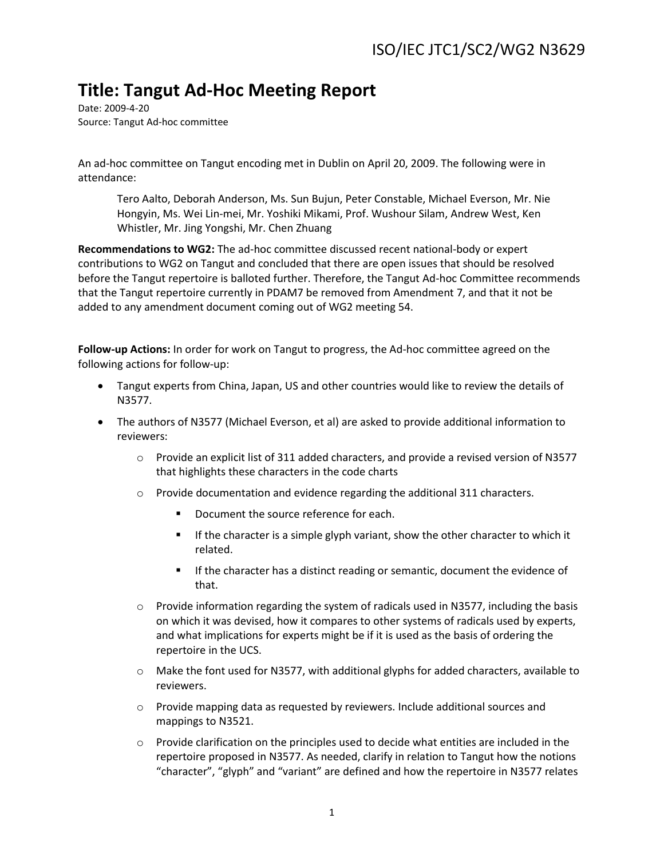## **Title: Tangut Ad-Hoc Meeting Report**

Date: 2009-4-20 Source: Tangut Ad-hoc committee

An ad-hoc committee on Tangut encoding met in Dublin on April 20, 2009. The following were in attendance:

Tero Aalto, Deborah Anderson, Ms. Sun Bujun, Peter Constable, Michael Everson, Mr. Nie Hongyin, Ms. Wei Lin-mei, Mr. Yoshiki Mikami, Prof. Wushour Silam, Andrew West, Ken Whistler, Mr. Jing Yongshi, Mr. Chen Zhuang

**Recommendations to WG2:** The ad-hoc committee discussed recent national-body or expert contributions to WG2 on Tangut and concluded that there are open issues that should be resolved before the Tangut repertoire is balloted further. Therefore, the Tangut Ad-hoc Committee recommends that the Tangut repertoire currently in PDAM7 be removed from Amendment 7, and that it not be added to any amendment document coming out of WG2 meeting 54.

**Follow-up Actions:** In order for work on Tangut to progress, the Ad-hoc committee agreed on the following actions for follow-up:

- Tangut experts from China, Japan, US and other countries would like to review the details of N3577.
- The authors of N3577 (Michael Everson, et al) are asked to provide additional information to reviewers:
	- o Provide an explicit list of 311 added characters, and provide a revised version of N3577 that highlights these characters in the code charts
	- o Provide documentation and evidence regarding the additional 311 characters.
		- Document the source reference for each.
		- **If the character is a simple glyph variant, show the other character to which it** related.
		- **If the character has a distinct reading or semantic, document the evidence of** that.
	- $\circ$  Provide information regarding the system of radicals used in N3577, including the basis on which it was devised, how it compares to other systems of radicals used by experts, and what implications for experts might be if it is used as the basis of ordering the repertoire in the UCS.
	- o Make the font used for N3577, with additional glyphs for added characters, available to reviewers.
	- o Provide mapping data as requested by reviewers. Include additional sources and mappings to N3521.
	- $\circ$  Provide clarification on the principles used to decide what entities are included in the repertoire proposed in N3577. As needed, clarify in relation to Tangut how the notions "character", "glyph" and "variant" are defined and how the repertoire in N3577 relates